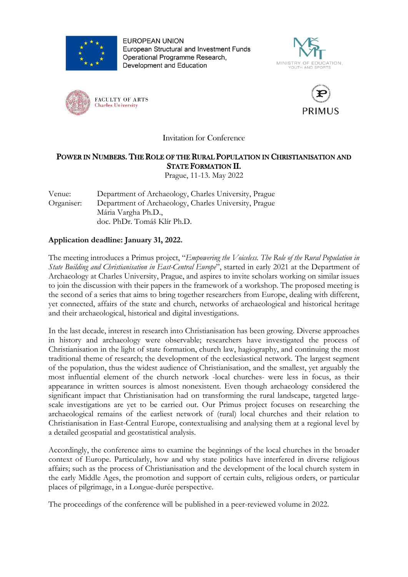

**EUROPEAN UNION** European Structural and Investment Funds Operational Programme Research, Development and Education







Invitation for Conference

## POWER IN NUMBERS. THE ROLE OF THE RURAL POPULATION IN CHRISTIANISATION AND STATE FORMATION II.

Prague, 11-13. May 2022

## Venue: Department of Archaeology, Charles University, Prague Organiser: Department of Archaeology, Charles University, Prague Mária Vargha Ph.D., doc. PhDr. Tomáš Klír Ph.D.

## **Application deadline: January 31, 2022.**

The meeting introduces a Primus project, "*Empowering the Voiceless. The Role of the Rural Population in State Building and Christianisation in East-Central Europe*", started in early 2021 at the Department of Archaeology at Charles University, Prague, and aspires to invite scholars working on similar issues to join the discussion with their papers in the framework of a workshop. The proposed meeting is the second of a series that aims to bring together researchers from Europe, dealing with different, yet connected, affairs of the state and church, networks of archaeological and historical heritage and their archaeological, historical and digital investigations.

In the last decade, interest in research into Christianisation has been growing. Diverse approaches in history and archaeology were observable; researchers have investigated the process of Christianisation in the light of state formation, church law, hagiography, and continuing the most traditional theme of research; the development of the ecclesiastical network. The largest segment of the population, thus the widest audience of Christianisation, and the smallest, yet arguably the most influential element of the church network -local churches- were less in focus, as their appearance in written sources is almost nonexistent. Even though archaeology considered the significant impact that Christianisation had on transforming the rural landscape, targeted largescale investigations are yet to be carried out. Our Primus project focuses on researching the archaeological remains of the earliest network of (rural) local churches and their relation to Christianisation in East-Central Europe, contextualising and analysing them at a regional level by a detailed geospatial and geostatistical analysis.

Accordingly, the conference aims to examine the beginnings of the local churches in the broader context of Europe. Particularly, how and why state politics have interfered in diverse religious affairs; such as the process of Christianisation and the development of the local church system in the early Middle Ages, the promotion and support of certain cults, religious orders, or particular places of pilgrimage, in a Longue-durée perspective.

The proceedings of the conference will be published in a peer-reviewed volume in 2022.